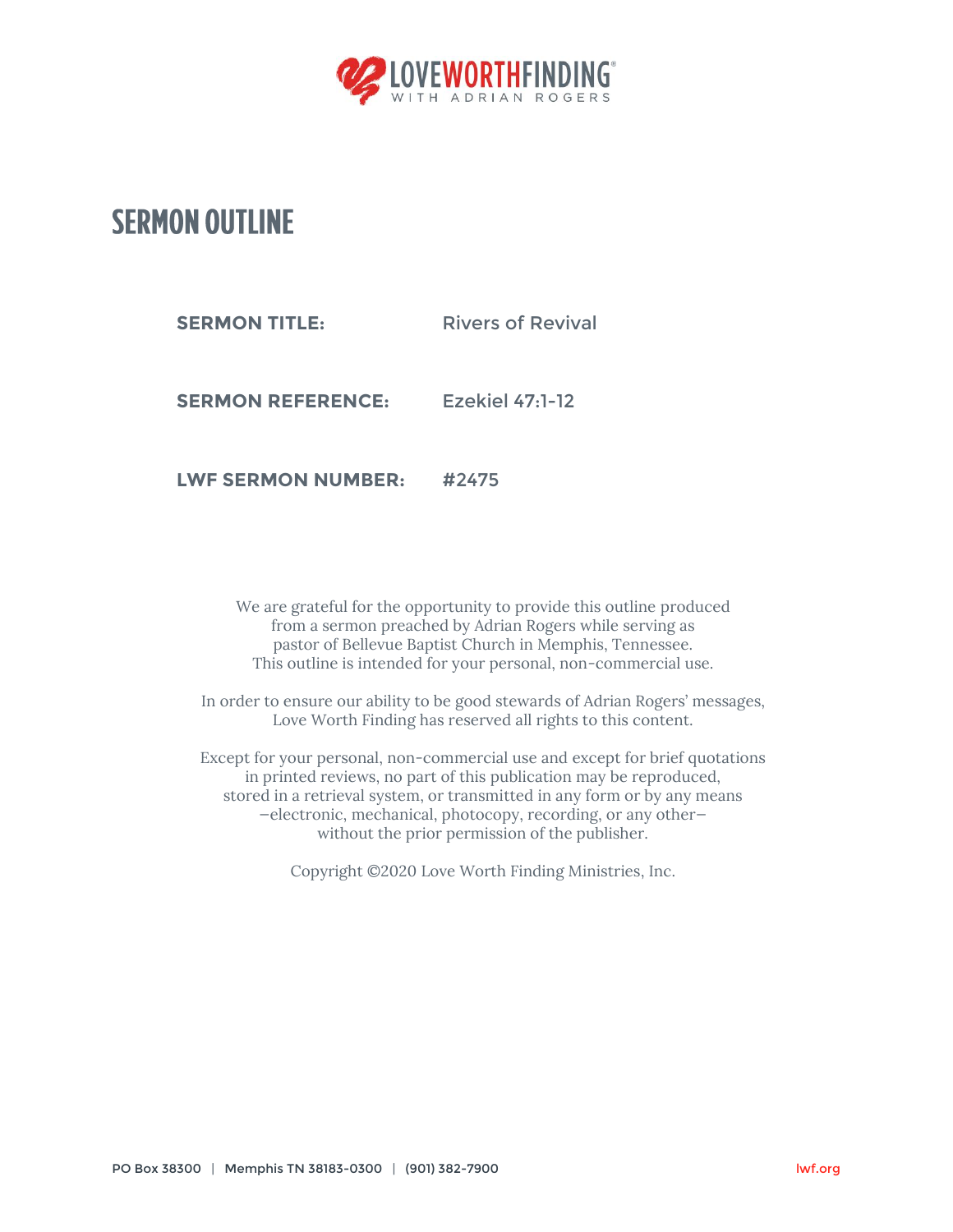

## **SERMON OUTLINE**

**SERMON TITLE:** Rivers of Revival

**SERMON REFERENCE:** Ezekiel 47:1-12

**LWF SERMON NUMBER:** #2475

We are grateful for the opportunity to provide this outline produced from a sermon preached by Adrian Rogers while serving as pastor of Bellevue Baptist Church in Memphis, Tennessee. This outline is intended for your personal, non-commercial use.

In order to ensure our ability to be good stewards of Adrian Rogers' messages, Love Worth Finding has reserved all rights to this content.

Except for your personal, non-commercial use and except for brief quotations in printed reviews, no part of this publication may be reproduced, stored in a retrieval system, or transmitted in any form or by any means —electronic, mechanical, photocopy, recording, or any other without the prior permission of the publisher.

Copyright ©2020 Love Worth Finding Ministries, Inc.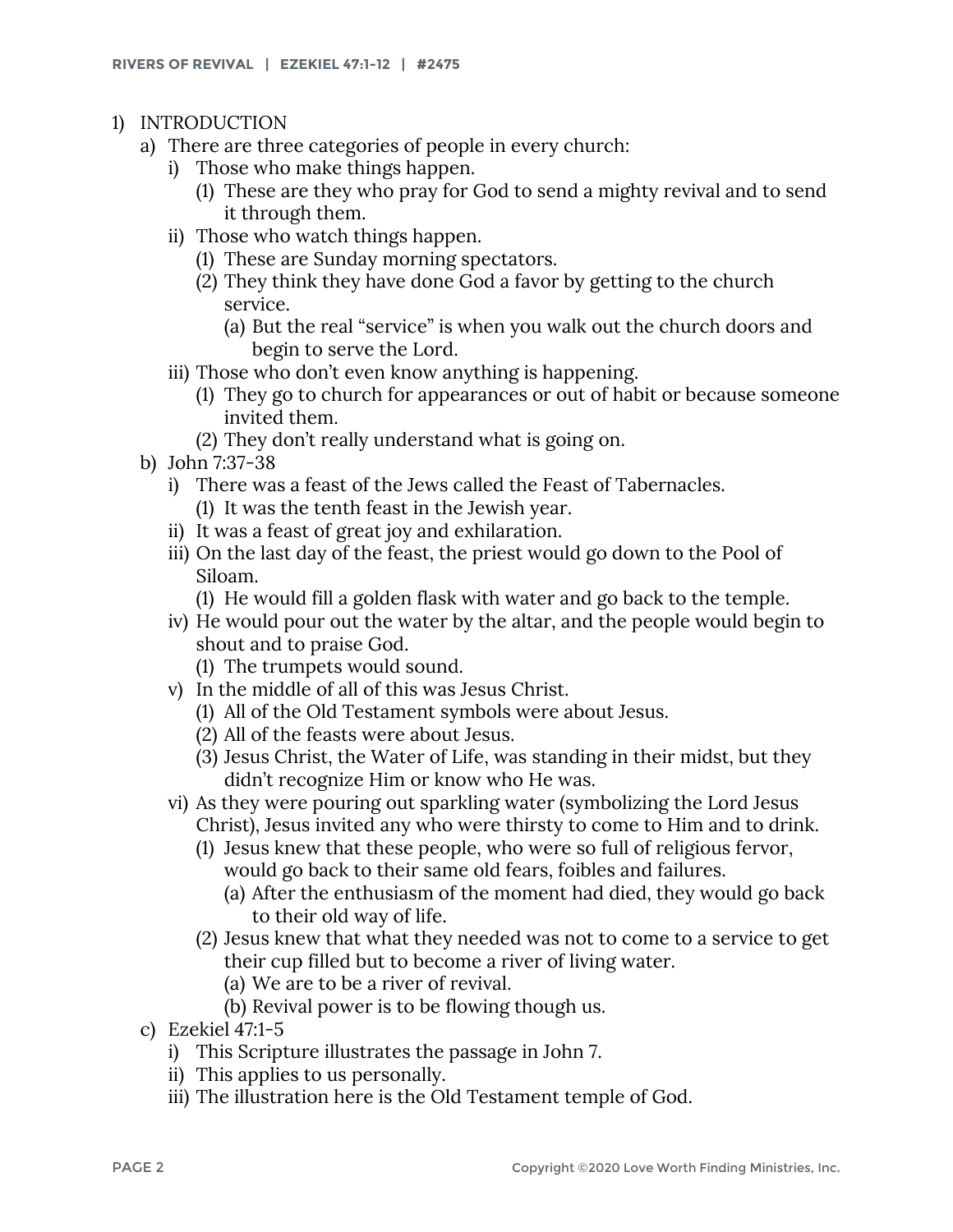- 1) INTRODUCTION
	- a) There are three categories of people in every church:
		- i) Those who make things happen.
			- (1) These are they who pray for God to send a mighty revival and to send it through them.
		- ii) Those who watch things happen.
			- (1) These are Sunday morning spectators.
			- (2) They think they have done God a favor by getting to the church service.
				- (a) But the real "service" is when you walk out the church doors and begin to serve the Lord.
		- iii) Those who don't even know anything is happening.
			- (1) They go to church for appearances or out of habit or because someone invited them.
			- (2) They don't really understand what is going on.
	- b) John 7:37-38
		- i) There was a feast of the Jews called the Feast of Tabernacles. (1) It was the tenth feast in the Jewish year.
		- ii) It was a feast of great joy and exhilaration.
		- iii) On the last day of the feast, the priest would go down to the Pool of Siloam.
			- (1) He would fill a golden flask with water and go back to the temple.
		- iv) He would pour out the water by the altar, and the people would begin to shout and to praise God.
			- (1) The trumpets would sound.
		- v) In the middle of all of this was Jesus Christ.
			- (1) All of the Old Testament symbols were about Jesus.
			- (2) All of the feasts were about Jesus.
			- (3) Jesus Christ, the Water of Life, was standing in their midst, but they didn't recognize Him or know who He was.
		- vi) As they were pouring out sparkling water (symbolizing the Lord Jesus Christ), Jesus invited any who were thirsty to come to Him and to drink.
			- (1) Jesus knew that these people, who were so full of religious fervor, would go back to their same old fears, foibles and failures.
				- (a) After the enthusiasm of the moment had died, they would go back to their old way of life.
			- (2) Jesus knew that what they needed was not to come to a service to get their cup filled but to become a river of living water.
				- (a) We are to be a river of revival.
				- (b) Revival power is to be flowing though us.
	- c) Ezekiel 47:1-5
		- i) This Scripture illustrates the passage in John 7.
		- ii) This applies to us personally.
		- iii) The illustration here is the Old Testament temple of God.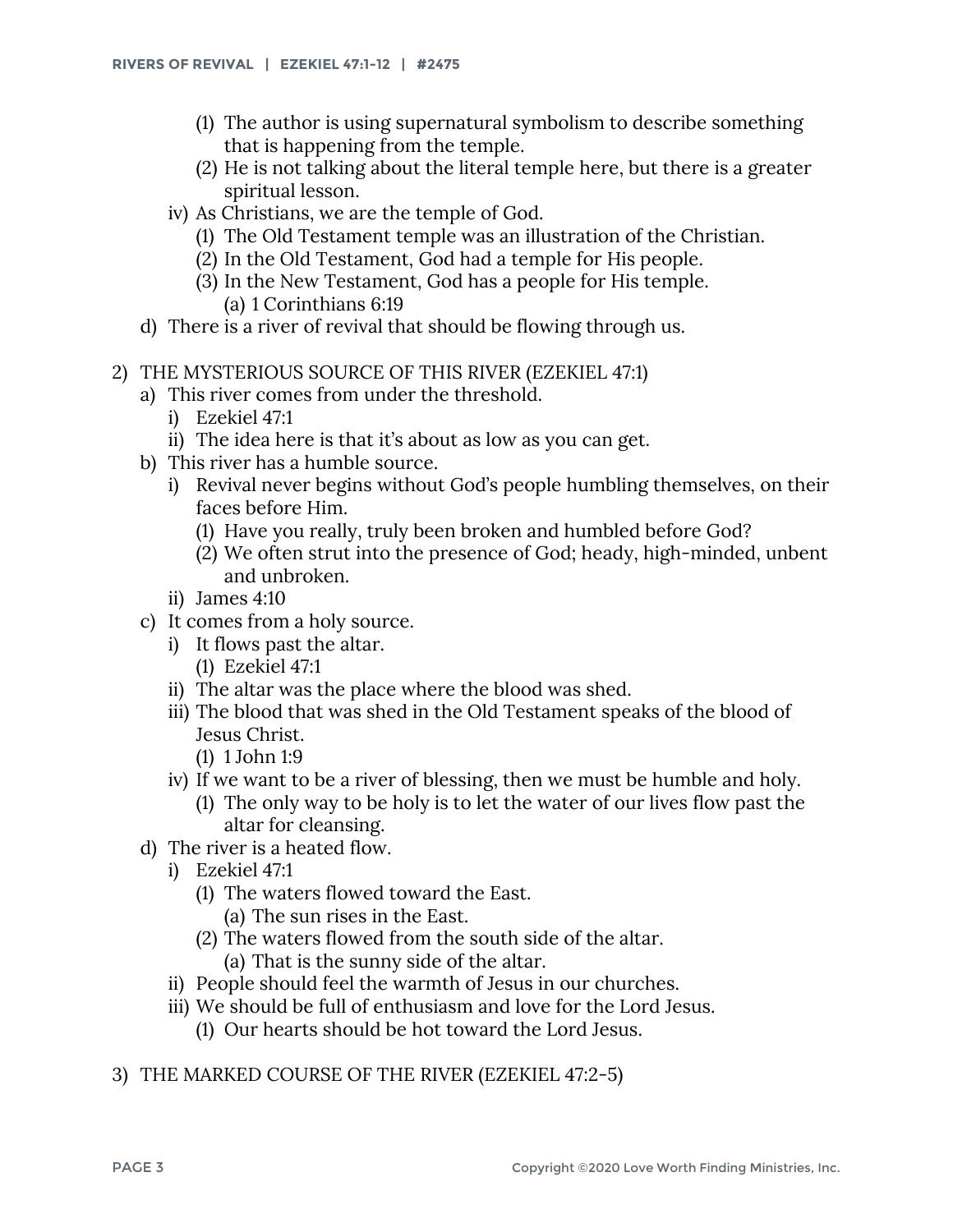- (1) The author is using supernatural symbolism to describe something that is happening from the temple.
- (2) He is not talking about the literal temple here, but there is a greater spiritual lesson.
- iv) As Christians, we are the temple of God.
	- (1) The Old Testament temple was an illustration of the Christian.
	- (2) In the Old Testament, God had a temple for His people.
	- (3) In the New Testament, God has a people for His temple. (a) 1 Corinthians 6:19
- d) There is a river of revival that should be flowing through us.
- 2) THE MYSTERIOUS SOURCE OF THIS RIVER (EZEKIEL 47:1)
	- a) This river comes from under the threshold.
		- i) Ezekiel 47:1
		- ii) The idea here is that it's about as low as you can get.
	- b) This river has a humble source.
		- i) Revival never begins without God's people humbling themselves, on their faces before Him.
			- (1) Have you really, truly been broken and humbled before God?
			- (2) We often strut into the presence of God; heady, high-minded, unbent and unbroken.
		- ii) James 4:10
	- c) It comes from a holy source.
		- i) It flows past the altar.
			- (1) Ezekiel 47:1
		- ii) The altar was the place where the blood was shed.
		- iii) The blood that was shed in the Old Testament speaks of the blood of Jesus Christ.
			- (1) 1 John 1:9
		- iv) If we want to be a river of blessing, then we must be humble and holy.
			- (1) The only way to be holy is to let the water of our lives flow past the altar for cleansing.
	- d) The river is a heated flow.
		- i) Ezekiel 47:1
			- (1) The waters flowed toward the East.
				- (a) The sun rises in the East.
			- (2) The waters flowed from the south side of the altar.
				- (a) That is the sunny side of the altar.
		- ii) People should feel the warmth of Jesus in our churches.
		- iii) We should be full of enthusiasm and love for the Lord Jesus.
			- (1) Our hearts should be hot toward the Lord Jesus.
- 3) THE MARKED COURSE OF THE RIVER (EZEKIEL 47:2-5)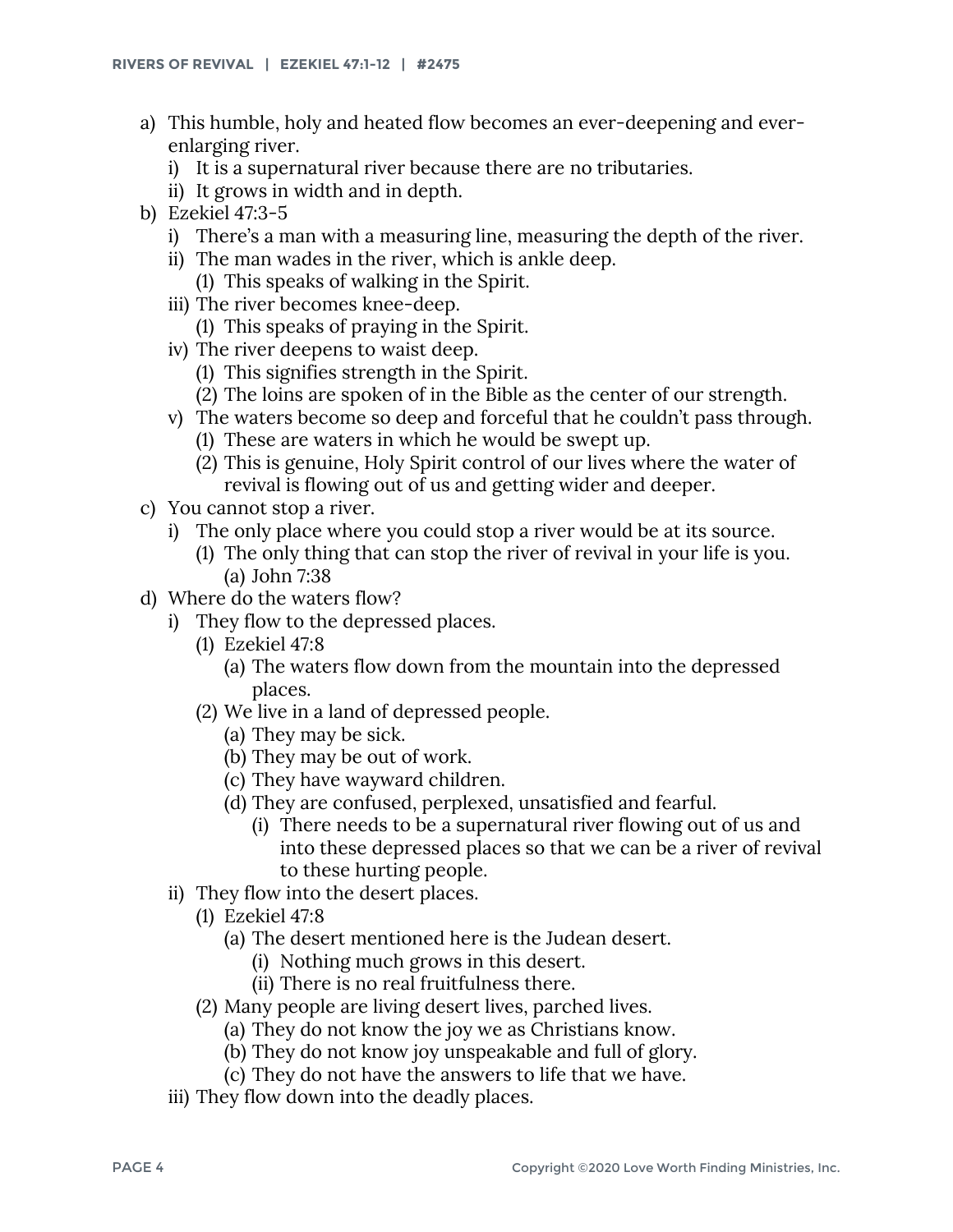- a) This humble, holy and heated flow becomes an ever-deepening and everenlarging river.
	- i) It is a supernatural river because there are no tributaries.
	- ii) It grows in width and in depth.
- b) Ezekiel 47:3-5
	- i) There's a man with a measuring line, measuring the depth of the river.
	- ii) The man wades in the river, which is ankle deep. (1) This speaks of walking in the Spirit.
	- iii) The river becomes knee-deep. (1) This speaks of praying in the Spirit.
	- iv) The river deepens to waist deep.
		- (1) This signifies strength in the Spirit.
		- (2) The loins are spoken of in the Bible as the center of our strength.
	- v) The waters become so deep and forceful that he couldn't pass through.
		- (1) These are waters in which he would be swept up.
		- (2) This is genuine, Holy Spirit control of our lives where the water of revival is flowing out of us and getting wider and deeper.
- c) You cannot stop a river.
	- i) The only place where you could stop a river would be at its source.
		- (1) The only thing that can stop the river of revival in your life is you. (a) John 7:38
- d) Where do the waters flow?
	- i) They flow to the depressed places.
		- (1) Ezekiel 47:8
			- (a) The waters flow down from the mountain into the depressed places.
		- (2) We live in a land of depressed people.
			- (a) They may be sick.
			- (b) They may be out of work.
			- (c) They have wayward children.
			- (d) They are confused, perplexed, unsatisfied and fearful.
				- (i) There needs to be a supernatural river flowing out of us and into these depressed places so that we can be a river of revival to these hurting people.
	- ii) They flow into the desert places.
		- (1) Ezekiel 47:8
			- (a) The desert mentioned here is the Judean desert.
				- (i) Nothing much grows in this desert.
				- (ii) There is no real fruitfulness there.
		- (2) Many people are living desert lives, parched lives.
			- (a) They do not know the joy we as Christians know.
			- (b) They do not know joy unspeakable and full of glory.
			- (c) They do not have the answers to life that we have.
	- iii) They flow down into the deadly places.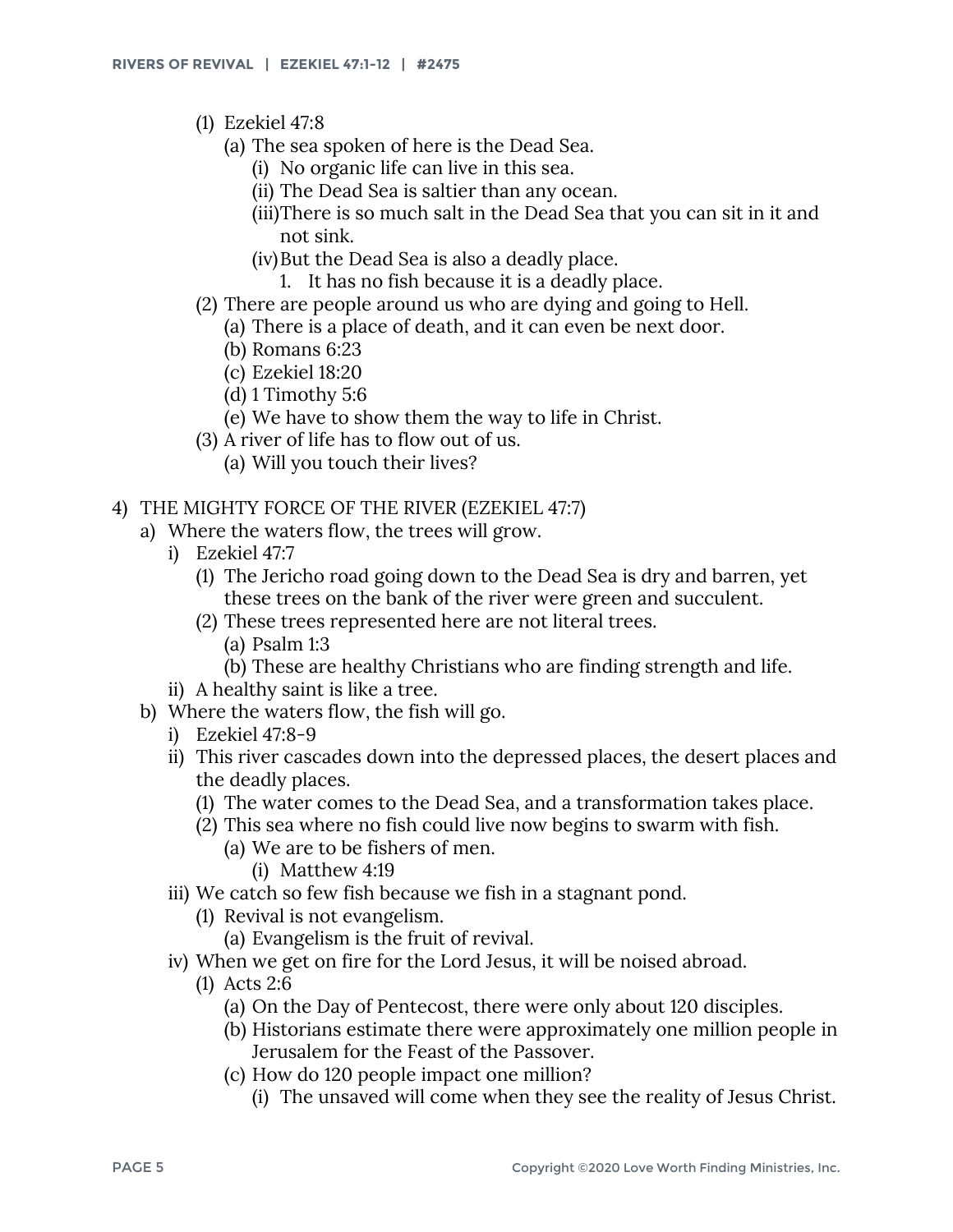- (1) Ezekiel 47:8
	- (a) The sea spoken of here is the Dead Sea.
		- (i) No organic life can live in this sea.
		- (ii) The Dead Sea is saltier than any ocean.
		- (iii)There is so much salt in the Dead Sea that you can sit in it and not sink.
		- (iv)But the Dead Sea is also a deadly place.
			- 1. It has no fish because it is a deadly place.
- (2) There are people around us who are dying and going to Hell.
	- (a) There is a place of death, and it can even be next door.
	- (b) Romans 6:23
	- (c) Ezekiel 18:20
	- (d) 1 Timothy 5:6
	- (e) We have to show them the way to life in Christ.
- (3) A river of life has to flow out of us.
	- (a) Will you touch their lives?

## 4) THE MIGHTY FORCE OF THE RIVER (EZEKIEL 47:7)

- a) Where the waters flow, the trees will grow.
	- i) Ezekiel 47:7
		- (1) The Jericho road going down to the Dead Sea is dry and barren, yet these trees on the bank of the river were green and succulent.
		- (2) These trees represented here are not literal trees.
			- (a) Psalm 1:3
			- (b) These are healthy Christians who are finding strength and life.
	- ii) A healthy saint is like a tree.
- b) Where the waters flow, the fish will go.
	- i) Ezekiel 47:8-9
	- ii) This river cascades down into the depressed places, the desert places and the deadly places.
		- (1) The water comes to the Dead Sea, and a transformation takes place.
		- (2) This sea where no fish could live now begins to swarm with fish.
			- (a) We are to be fishers of men.
				- (i) Matthew 4:19
	- iii) We catch so few fish because we fish in a stagnant pond.
		- (1) Revival is not evangelism.
			- (a) Evangelism is the fruit of revival.
	- iv) When we get on fire for the Lord Jesus, it will be noised abroad.
		- (1) Acts 2:6
			- (a) On the Day of Pentecost, there were only about 120 disciples.
			- (b) Historians estimate there were approximately one million people in Jerusalem for the Feast of the Passover.
			- (c) How do 120 people impact one million?
				- (i) The unsaved will come when they see the reality of Jesus Christ.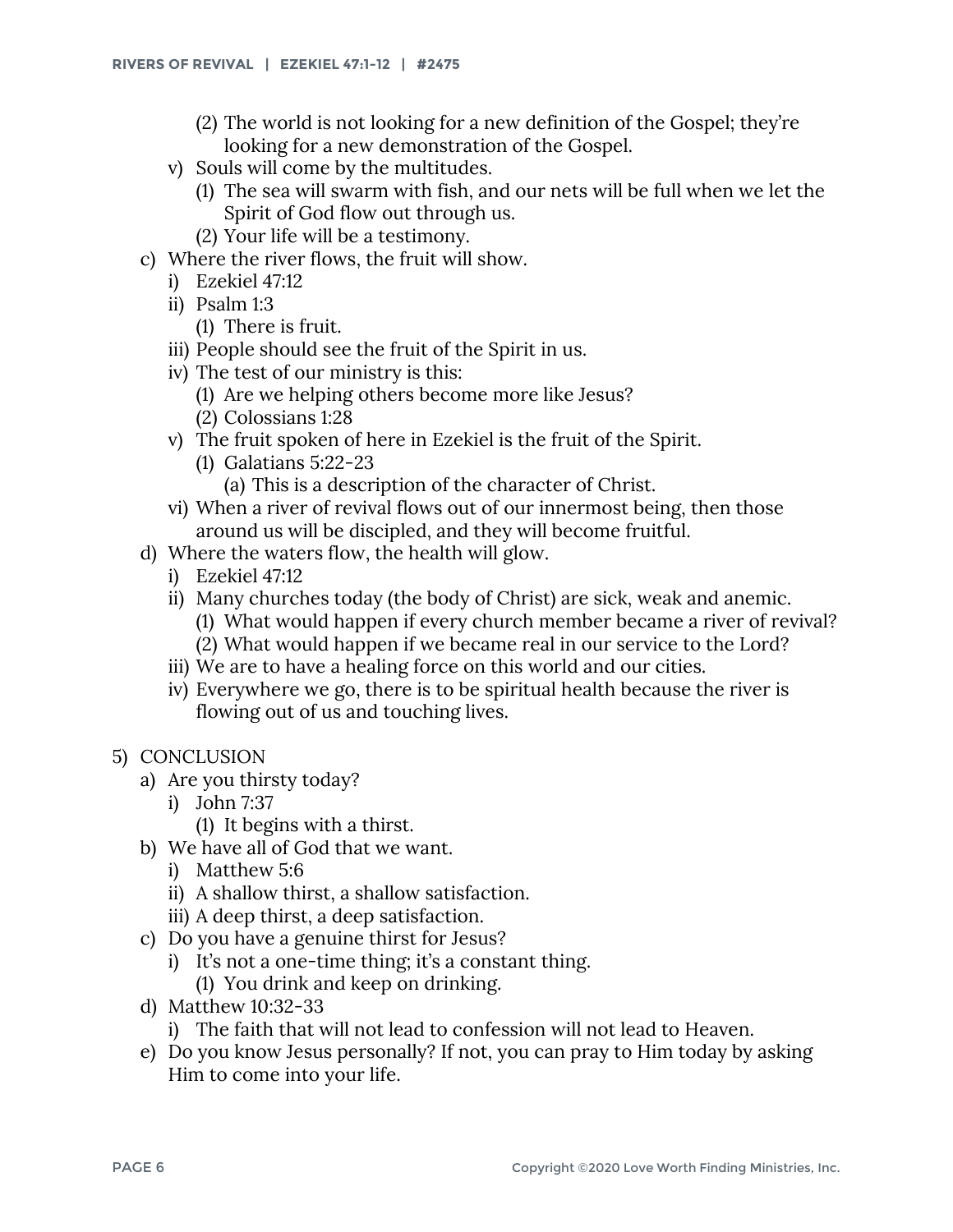- (2) The world is not looking for a new definition of the Gospel; they're looking for a new demonstration of the Gospel.
- v) Souls will come by the multitudes.
	- (1) The sea will swarm with fish, and our nets will be full when we let the Spirit of God flow out through us.
	- (2) Your life will be a testimony.
- c) Where the river flows, the fruit will show.
	- i) Ezekiel 47:12
	- ii) Psalm 1:3
		- (1) There is fruit.
	- iii) People should see the fruit of the Spirit in us.
	- iv) The test of our ministry is this:
		- (1) Are we helping others become more like Jesus?
		- (2) Colossians 1:28
	- v) The fruit spoken of here in Ezekiel is the fruit of the Spirit.
		- (1) Galatians 5:22-23
			- (a) This is a description of the character of Christ.
	- vi) When a river of revival flows out of our innermost being, then those around us will be discipled, and they will become fruitful.
- d) Where the waters flow, the health will glow.
	- i) Ezekiel 47:12
	- ii) Many churches today (the body of Christ) are sick, weak and anemic.
		- (1) What would happen if every church member became a river of revival?
		- (2) What would happen if we became real in our service to the Lord?
	- iii) We are to have a healing force on this world and our cities.
	- iv) Everywhere we go, there is to be spiritual health because the river is flowing out of us and touching lives.
- 5) CONCLUSION
	- a) Are you thirsty today?
		- i) John 7:37
			- (1) It begins with a thirst.
	- b) We have all of God that we want.
		- i) Matthew 5:6
		- ii) A shallow thirst, a shallow satisfaction.
		- iii) A deep thirst, a deep satisfaction.
	- c) Do you have a genuine thirst for Jesus?
		- i) It's not a one-time thing; it's a constant thing.
			- (1) You drink and keep on drinking.
	- d) Matthew 10:32-33
		- i) The faith that will not lead to confession will not lead to Heaven.
	- e) Do you know Jesus personally? If not, you can pray to Him today by asking Him to come into your life.